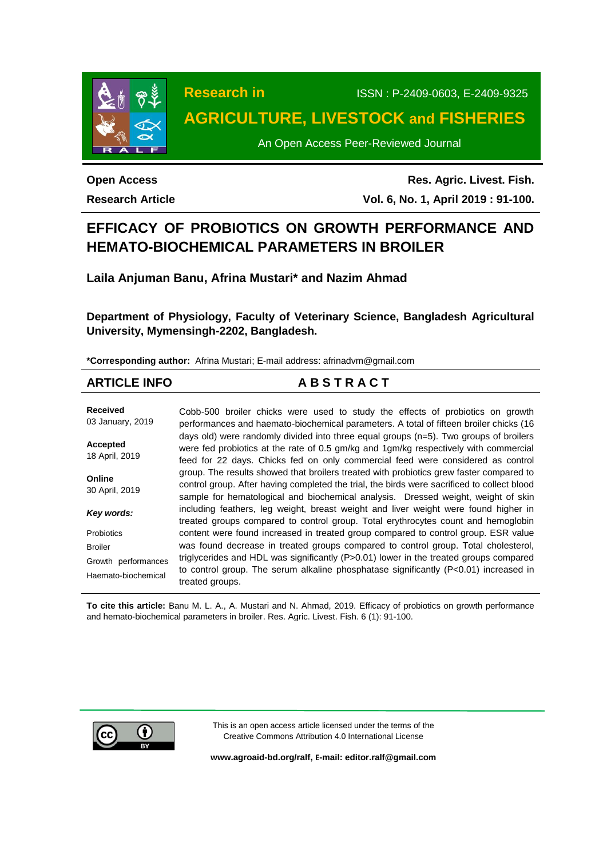

**Research in** ISSN : P-2409-0603, E-2409-9325

# **AGRICULTURE, LIVESTOCK and FISHERIES**

An Open Access Peer-Reviewed Journal

## **Open Access Research Article**

**Res. Agric. Livest. Fish. Vol. 6, No. 1, April 2019 : 91-100.**

# **EFFICACY OF PROBIOTICS ON GROWTH PERFORMANCE AND HEMATO-BIOCHEMICAL PARAMETERS IN BROILER**

**Laila Anjuman Banu, Afrina Mustari\* and Nazim Ahmad**

**Department of Physiology, Faculty of Veterinary Science, Bangladesh Agricultural University, Mymensingh-2202, Bangladesh.**

**\*Corresponding author:** Afrina Mustari; E-mail address: afrinadvm@gmail.com

## **ARTICLE INFO A B S T R A C T**

**Received** 03 January, 2019 **Accepted** 18 April, 2019 **Online** 30 April, 2019 *Key words:* **Probiotics** Broiler Growth performances Haemato-biochemical Cobb-500 broiler chicks were used to study the effects of probiotics on growth performances and haemato-biochemical parameters. A total of fifteen broiler chicks (16 days old) were randomly divided into three equal groups (n=5). Two groups of broilers were fed probiotics at the rate of 0.5 gm/kg and 1gm/kg respectively with commercial feed for 22 days. Chicks fed on only commercial feed were considered as control group. The results showed that broilers treated with probiotics grew faster compared to control group. After having completed the trial, the birds were sacrificed to collect blood sample for hematological and biochemical analysis. Dressed weight, weight of skin including feathers, leg weight, breast weight and liver weight were found higher in treated groups compared to control group. Total erythrocytes count and hemoglobin content were found increased in treated group compared to control group. ESR value was found decrease in treated groups compared to control group. Total cholesterol, triglycerides and HDL was significantly (P>0.01) lower in the treated groups compared to control group. The serum alkaline phosphatase significantly (P<0.01) increased in treated groups.

**To cite this article:** Banu M. L. A., A. Mustari and N. Ahmad, 2019. Efficacy of probiotics on growth performance and hemato-biochemical parameters in broiler. Res. Agric. Livest. Fish. 6 (1): 91-100.



This is an open access article licensed under the terms of the Creative Commons Attribution 4.0 International License

**[www.agroaid-bd.org/ralf,](http://www.agroaid-bd.org/ralf) E-mail[: editor.ralf@gmail.com](mailto:editor.ralf@gmail.com)**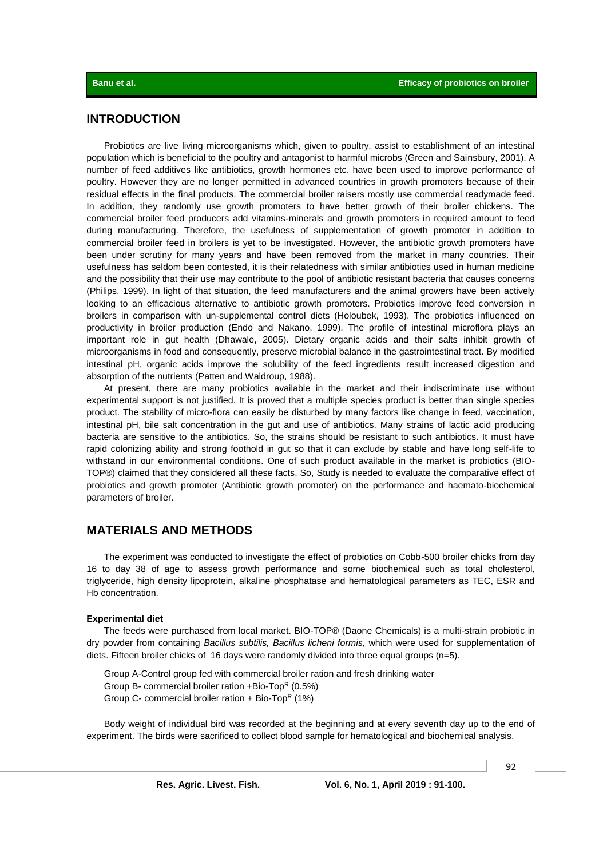## **INTRODUCTION**

Probiotics are live living microorganisms which, given to poultry, assist to establishment of an intestinal population which is beneficial to the poultry and antagonist to harmful microbs (Green and Sainsbury, 2001). A number of feed additives like antibiotics, growth hormones etc. have been used to improve performance of poultry. However they are no longer permitted in advanced countries in growth promoters because of their residual effects in the final products. The commercial broiler raisers mostly use commercial readymade feed. In addition, they randomly use growth promoters to have better growth of their broiler chickens. The commercial broiler feed producers add vitamins-minerals and growth promoters in required amount to feed during manufacturing. Therefore, the usefulness of supplementation of growth promoter in addition to commercial broiler feed in broilers is yet to be investigated. However, the antibiotic growth promoters have been under scrutiny for many years and have been removed from the market in many countries. Their usefulness has seldom been contested, it is their relatedness with similar antibiotics used in human medicine and the possibility that their use may contribute to the pool of antibiotic resistant bacteria that causes concerns (Philips, 1999). In light of that situation, the feed manufacturers and the animal growers have been actively looking to an efficacious alternative to antibiotic growth promoters. Probiotics improve feed conversion in broilers in comparison with un-supplemental control diets (Holoubek, 1993). The probiotics influenced on productivity in broiler production (Endo and Nakano, 1999). The profile of intestinal microflora plays an important role in gut health (Dhawale, 2005). Dietary organic acids and their salts inhibit growth of microorganisms in food and consequently, preserve microbial balance in the gastrointestinal tract. By modified intestinal pH, organic acids improve the solubility of the feed ingredients result increased digestion and absorption of the nutrients (Patten and Waldroup, 1988).

At present, there are many probiotics available in the market and their indiscriminate use without experimental support is not justified. It is proved that a multiple species product is better than single species product. The stability of micro-flora can easily be disturbed by many factors like change in feed, vaccination, intestinal pH, bile salt concentration in the gut and use of antibiotics. Many strains of lactic acid producing bacteria are sensitive to the antibiotics. So, the strains should be resistant to such antibiotics. It must have rapid colonizing ability and strong foothold in gut so that it can exclude by stable and have long self-life to withstand in our environmental conditions. One of such product available in the market is probiotics (BIO-TOP®) claimed that they considered all these facts. So, Study is needed to evaluate the comparative effect of probiotics and growth promoter (Antibiotic growth promoter) on the performance and haemato-biochemical parameters of broiler.

## **MATERIALS AND METHODS**

The experiment was conducted to investigate the effect of probiotics on Cobb-500 broiler chicks from day 16 to day 38 of age to assess growth performance and some biochemical such as total cholesterol, triglyceride, high density lipoprotein, alkaline phosphatase and hematological parameters as TEC, ESR and Hb concentration.

#### **Experimental diet**

The feeds were purchased from local market. BIO-TOP® (Daone Chemicals) is a multi-strain probiotic in dry powder from containing *Bacillus subtilis, Bacillus licheni formis,* which were used for supplementation of diets. Fifteen broiler chicks of 16 days were randomly divided into three equal groups (n=5).

Group A-Control group fed with commercial broiler ration and fresh drinking water Group B- commercial broiler ration  $+$ Bio-TopR (0.5%) Group C- commercial broiler ration + Bio-Top<sup>R</sup> (1%)

Body weight of individual bird was recorded at the beginning and at every seventh day up to the end of experiment. The birds were sacrificed to collect blood sample for hematological and biochemical analysis.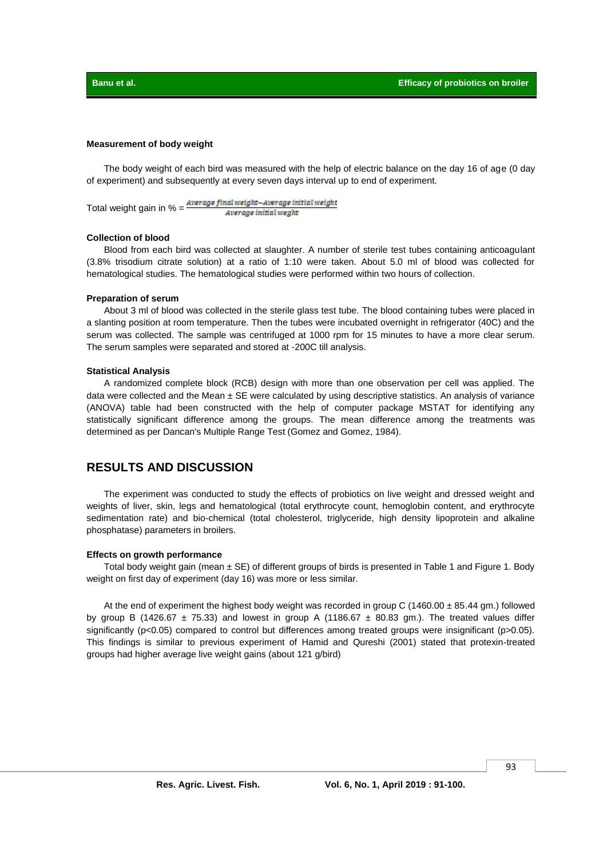### **Measurement of body weight**

The body weight of each bird was measured with the help of electric balance on the day 16 of age (0 day of experiment) and subsequently at every seven days interval up to end of experiment.

Total weight gain in % = Average final weight-Average initial weight Average initial weaht

#### **Collection of blood**

Blood from each bird was collected at slaughter. A number of sterile test tubes containing anticoagulant (3.8% trisodium citrate solution) at a ratio of 1:10 were taken. About 5.0 ml of blood was collected for hematological studies. The hematological studies were performed within two hours of collection.

#### **Preparation of serum**

About 3 ml of blood was collected in the sterile glass test tube. The blood containing tubes were placed in a slanting position at room temperature. Then the tubes were incubated overnight in refrigerator (40C) and the serum was collected. The sample was centrifuged at 1000 rpm for 15 minutes to have a more clear serum. The serum samples were separated and stored at -200C till analysis.

#### **Statistical Analysis**

A randomized complete block (RCB) design with more than one observation per cell was applied. The data were collected and the Mean  $\pm$  SE were calculated by using descriptive statistics. An analysis of variance (ANOVA) table had been constructed with the help of computer package MSTAT for identifying any statistically significant difference among the groups. The mean difference among the treatments was determined as per Dancan's Multiple Range Test (Gomez and Gomez, 1984).

## **RESULTS AND DISCUSSION**

The experiment was conducted to study the effects of probiotics on live weight and dressed weight and weights of liver, skin, legs and hematological (total erythrocyte count, hemoglobin content, and erythrocyte sedimentation rate) and bio-chemical (total cholesterol, triglyceride, high density lipoprotein and alkaline phosphatase) parameters in broilers.

#### **Effects on growth performance**

Total body weight gain (mean  $\pm$  SE) of different groups of birds is presented in Table 1 and Figure 1. Body weight on first day of experiment (day 16) was more or less similar.

At the end of experiment the highest body weight was recorded in group C (1460.00 ± 85.44 gm.) followed by group B (1426.67  $\pm$  75.33) and lowest in group A (1186.67  $\pm$  80.83 gm.). The treated values differ significantly (p<0.05) compared to control but differences among treated groups were insignificant (p>0.05). This findings is similar to previous experiment of Hamid and Qureshi (2001) stated that protexin-treated groups had higher average live weight gains (about 121 g/bird)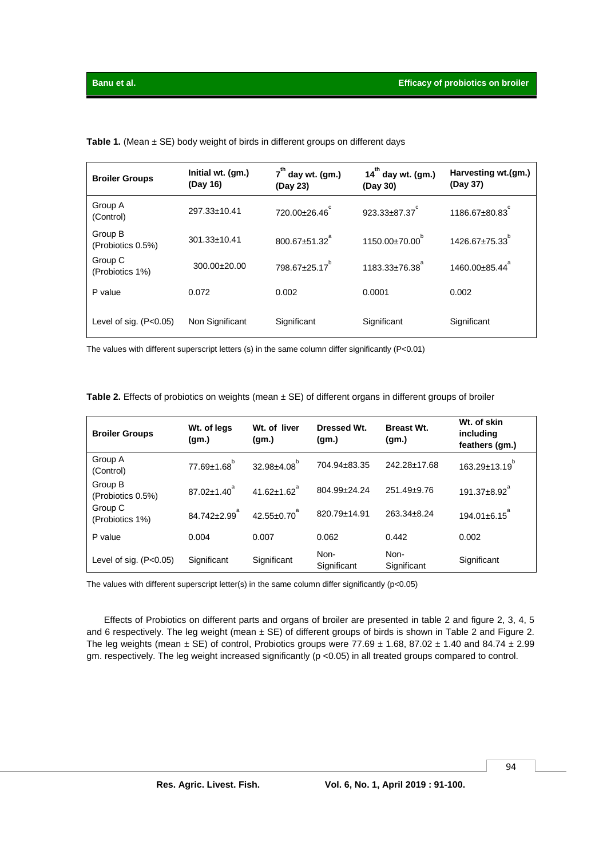| <b>Broiler Groups</b>        | Initial wt. (gm.)<br>(Day 16) | $7th$ day wt. (gm.)<br>(Day 23) | $14th$ day wt. (gm.)<br>(Day 30) | Harvesting wt.(gm.)<br>(Day 37) |
|------------------------------|-------------------------------|---------------------------------|----------------------------------|---------------------------------|
| Group A<br>(Control)         | 297.33±10.41                  | 720.00±26.46°                   | $923.33 \pm 87.37$               | 1186.67±80.83                   |
| Group B<br>(Probiotics 0.5%) | $301.33 \pm 10.41$            | $800.67 \pm 51.32$ <sup>a</sup> | 1150.00±70.00 <sup>b</sup>       | $1426.67 \pm 75.33$             |
| Group C<br>(Probiotics 1%)   | $300.00 \pm 20.00$            | $798.67 \pm 25.17$ <sup>b</sup> | $1183.33 \pm 76.38$ <sup>8</sup> | 1460.00±85.44                   |
| P value                      | 0.072                         | 0.002                           | 0.0001                           | 0.002                           |
| Level of sig. $(P<0.05)$     | Non Significant               | Significant                     | Significant                      | Significant                     |

Table 1. (Mean ± SE) body weight of birds in different groups on different days

The values with different superscript letters (s) in the same column differ significantly (P<0.01)

| <b>Broiler Groups</b>        | Wt. of legs<br>(gm.)           | Wt. of liver<br>(gm.)         | Dressed Wt.<br>(gm.) | <b>Breast Wt.</b><br>(gm.) | Wt. of skin<br>including<br>feathers (gm.) |
|------------------------------|--------------------------------|-------------------------------|----------------------|----------------------------|--------------------------------------------|
| Group A<br>(Control)         | $77.69 \pm 1.68$ <sup>b</sup>  | $32.98 \pm 4.08$ <sup>b</sup> | 704.94±83.35         | 242.28+17.68               | $163.29 \pm 13.19^{b}$                     |
| Group B<br>(Probiotics 0.5%) | $87.02 \pm 1.40^\circ$         | $41.62 \pm 1.62$ <sup>a</sup> | 804.99+24.24         | 251.49±9.76                | $191.37 \pm 8.92$ <sup>a</sup>             |
| Group C<br>(Probiotics 1%)   | $84.742 \pm 2.99$ <sup>a</sup> | $42.55 \pm 0.70$ <sup>a</sup> | 820.79±14.91         | 263.34+8.24                | $194.01 \pm 6.15$ <sup>a</sup>             |
| P value                      | 0.004                          | 0.007                         | 0.062                | 0.442                      | 0.002                                      |
| Level of sig. $(P<0.05)$     | Significant                    | Significant                   | Non-<br>Significant  | Non-<br>Significant        | Significant                                |

The values with different superscript letter(s) in the same column differ significantly (p<0.05)

Effects of Probiotics on different parts and organs of broiler are presented in table 2 and figure 2, 3, 4, 5 and 6 respectively. The leg weight (mean  $\pm$  SE) of different groups of birds is shown in Table 2 and Figure 2. The leg weights (mean  $\pm$  SE) of control, Probiotics groups were 77.69  $\pm$  1.68, 87.02  $\pm$  1.40 and 84.74  $\pm$  2.99 gm. respectively. The leg weight increased significantly (p <0.05) in all treated groups compared to control.

94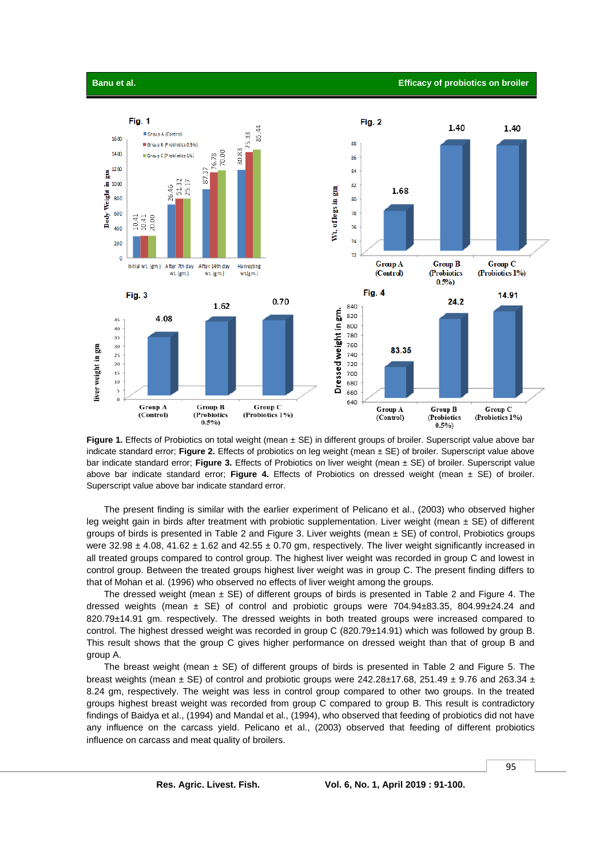

Figure 1. Effects of Probiotics on total weight (mean ± SE) in different groups of broiler. Superscript value above bar indicate standard error; **Figure 2.** Effects of probiotics on leg weight (mean ± SE) of broiler. Superscript value above bar indicate standard error; **Figure 3.** Effects of Probiotics on liver weight (mean ± SE) of broiler. Superscript value above bar indicate standard error; **Figure 4.** Effects of Probiotics on dressed weight (mean ± SE) of broiler. Superscript value above bar indicate standard error.

The present finding is similar with the earlier experiment of Pelicano et al., (2003) who observed higher leg weight gain in birds after treatment with probiotic supplementation. Liver weight (mean  $\pm$  SE) of different groups of birds is presented in Table 2 and Figure 3. Liver weights (mean  $\pm$  SE) of control, Probiotics groups were  $32.98 \pm 4.08$ ,  $41.62 \pm 1.62$  and  $42.55 \pm 0.70$  gm, respectively. The liver weight significantly increased in all treated groups compared to control group. The highest liver weight was recorded in group C and lowest in control group. Between the treated groups highest liver weight was in group C. The present finding differs to that of Mohan et al*.* (1996) who observed no effects of liver weight among the groups.

The dressed weight (mean  $\pm$  SE) of different groups of birds is presented in Table 2 and Figure 4. The dressed weights (mean  $\pm$  SE) of control and probiotic groups were 704.94 $\pm$ 83.35, 804.99 $\pm$ 24.24 and 820.79±14.91 gm. respectively. The dressed weights in both treated groups were increased compared to control. The highest dressed weight was recorded in group C (820.79±14.91) which was followed by group B. This result shows that the group C gives higher performance on dressed weight than that of group B and group A.

The breast weight (mean  $\pm$  SE) of different groups of birds is presented in Table 2 and Figure 5. The breast weights (mean  $\pm$  SE) of control and probiotic groups were 242.28 $\pm$ 17.68, 251.49  $\pm$  9.76 and 263.34  $\pm$ 8.24 gm, respectively. The weight was less in control group compared to other two groups. In the treated groups highest breast weight was recorded from group C compared to group B. This result is contradictory findings of Baidya et al., (1994) and Mandal et al., (1994), who observed that feeding of probiotics did not have any influence on the carcass yield. Pelicano et al., (2003) observed that feeding of different probiotics influence on carcass and meat quality of broilers.

95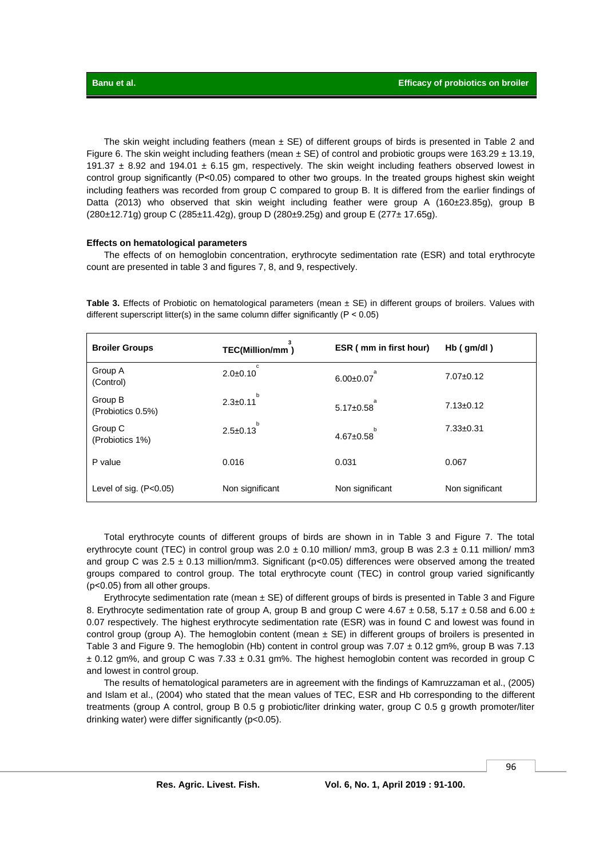The skin weight including feathers (mean  $\pm$  SE) of different groups of birds is presented in Table 2 and Figure 6. The skin weight including feathers (mean  $\pm$  SE) of control and probiotic groups were 163.29  $\pm$  13.19, 191.37  $\pm$  8.92 and 194.01  $\pm$  6.15 gm, respectively. The skin weight including feathers observed lowest in control group significantly (P<0.05) compared to other two groups. In the treated groups highest skin weight including feathers was recorded from group C compared to group B. It is differed from the earlier findings of Datta (2013) who observed that skin weight including feather were group A (160±23.85g), group B (280±12.71g) group C (285±11.42g), group D (280±9.25g) and group E (277± 17.65g).

#### **Effects on hematological parameters**

The effects of on hemoglobin concentration, erythrocyte sedimentation rate (ESR) and total erythrocyte count are presented in table 3 and figures 7, 8, and 9, respectively.

**Table 3.** Effects of Probiotic on hematological parameters (mean ± SE) in different groups of broilers. Values with different superscript litter(s) in the same column differ significantly ( $P < 0.05$ )

| <b>Broiler Groups</b>        | TEC(Million/mm)     | ESR (mm in first hour) | $Hb$ (gm/dl)    |
|------------------------------|---------------------|------------------------|-----------------|
| Group A<br>(Control)         | c<br>$2.0+0.10$     | $6.00+0.07$            | $7.07 \pm 0.12$ |
| Group B<br>(Probiotics 0.5%) | b<br>$2.3 \pm 0.11$ | $5.17 \pm 0.58$        | $7.13 \pm 0.12$ |
| Group C<br>(Probiotics 1%)   | b<br>$2.5 \pm 0.13$ | b<br>$4.67 + 0.58$     | $7.33 + 0.31$   |
| P value                      | 0.016               | 0.031                  | 0.067           |
| Level of sig. $(P<0.05)$     | Non significant     | Non significant        | Non significant |

Total erythrocyte counts of different groups of birds are shown in in Table 3 and Figure 7. The total erythrocyte count (TEC) in control group was  $2.0 \pm 0.10$  million/ mm3, group B was  $2.3 \pm 0.11$  million/ mm3 and group C was  $2.5 \pm 0.13$  million/mm3. Significant (p<0.05) differences were observed among the treated groups compared to control group. The total erythrocyte count (TEC) in control group varied significantly (p˂0.05) from all other groups.

Erythrocyte sedimentation rate (mean  $\pm$  SE) of different groups of birds is presented in Table 3 and Figure 8. Erythrocyte sedimentation rate of group A, group B and group C were 4.67  $\pm$  0.58, 5.17  $\pm$  0.58 and 6.00  $\pm$ 0.07 respectively. The highest erythrocyte sedimentation rate (ESR) was in found C and lowest was found in control group (group A). The hemoglobin content (mean  $\pm$  SE) in different groups of broilers is presented in Table 3 and Figure 9. The hemoglobin (Hb) content in control group was 7.07 ± 0.12 gm%, group B was 7.13  $\pm$  0.12 gm%, and group C was 7.33  $\pm$  0.31 gm%. The highest hemoglobin content was recorded in group C and lowest in control group.

The results of hematological parameters are in agreement with the findings of Kamruzzaman et al., (2005) and Islam et al., (2004) who stated that the mean values of TEC, ESR and Hb corresponding to the different treatments (group A control, group B 0.5 g probiotic/liter drinking water, group C 0.5 g growth promoter/liter drinking water) were differ significantly (p<0.05).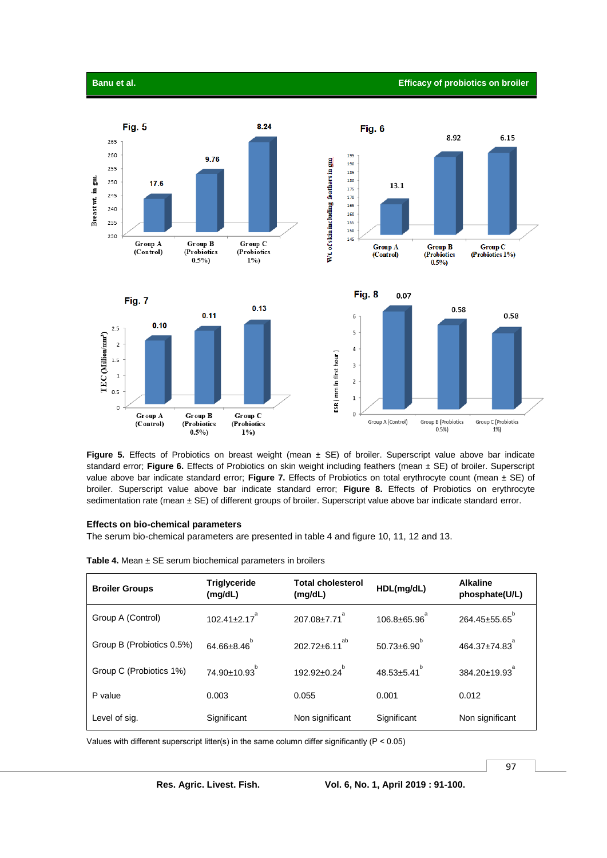

**Figure 5.** Effects of Probiotics on breast weight (mean  $\pm$  SE) of broiler. Superscript value above bar indicate standard error; **Figure 6.** Effects of Probiotics on skin weight including feathers (mean ± SE) of broiler. Superscript value above bar indicate standard error; **Figure 7.** Effects of Probiotics on total erythrocyte count (mean ± SE) of broiler. Superscript value above bar indicate standard error; **Figure 8.** Effects of Probiotics on erythrocyte sedimentation rate (mean ± SE) of different groups of broiler. Superscript value above bar indicate standard error.

#### **Effects on bio-chemical parameters**

The serum bio-chemical parameters are presented in table 4 and figure 10, 11, 12 and 13.

**Table 4.** Mean ± SE serum biochemical parameters in broilers

| <b>Broiler Groups</b>     | <b>Triglyceride</b><br>(mg/dL) | <b>Total cholesterol</b><br>(mg/dL) | HDL(mg/dL)               | <b>Alkaline</b><br>phosphate(U/L) |
|---------------------------|--------------------------------|-------------------------------------|--------------------------|-----------------------------------|
| Group A (Control)         | $102.41 \pm 2.17$ <sup>a</sup> | $207.08 \pm 7.71$ <sup>a</sup>      | $106.8 \pm 65.96$        | $264.45 \pm 55.65$ <sup>b</sup>   |
| Group B (Probiotics 0.5%) | $64.66 \pm 8.46^{b}$           | $202.72 \pm 6.11^{ab}$              | $50.73 \pm 6.90^{\circ}$ | $464.37 \pm 74.83$ <sup>*</sup>   |
| Group C (Probiotics 1%)   | 74.90±10.93 <sup>b</sup>       | $192.92 \pm 0.24^{\circ}$           | $48.53 \pm 5.41^{\circ}$ | $384.20 \pm 19.93$ <sup>a</sup>   |
| P value                   | 0.003                          | 0.055                               | 0.001                    | 0.012                             |
| Level of sig.             | Significant                    | Non significant                     | Significant              | Non significant                   |

Values with different superscript litter(s) in the same column differ significantly ( $P < 0.05$ )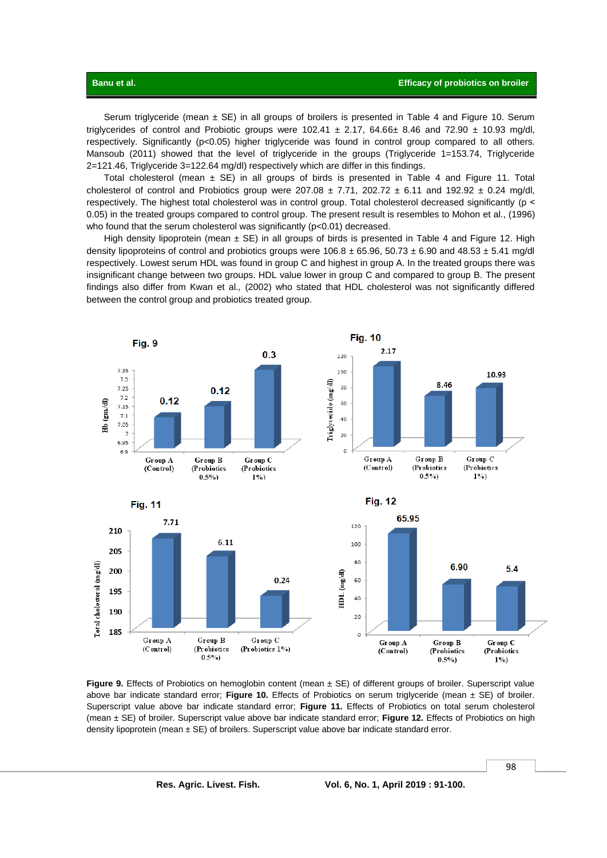Serum triglyceride (mean  $\pm$  SE) in all groups of broilers is presented in Table 4 and Figure 10. Serum triglycerides of control and Probiotic groups were  $102.41 \pm 2.17$ ,  $64.66 \pm 8.46$  and  $72.90 \pm 10.93$  mg/dl, respectively. Significantly (p<0.05) higher triglyceride was found in control group compared to all others. Mansoub (2011) showed that the level of triglyceride in the groups (Triglyceride 1=153.74, Triglyceride 2=121.46, Triglyceride 3=122.64 mg/dl) respectively which are differ in this findings.

Total cholesterol (mean  $\pm$  SE) in all groups of birds is presented in Table 4 and Figure 11. Total cholesterol of control and Probiotics group were  $207.08 \pm 7.71$ ,  $202.72 \pm 6.11$  and  $192.92 \pm 0.24$  mg/dl, respectively. The highest total cholesterol was in control group. Total cholesterol decreased significantly (p < 0.05) in the treated groups compared to control group. The present result is resembles to Mohon et al., (1996) who found that the serum cholesterol was significantly (p<0.01) decreased.

High density lipoprotein (mean  $\pm$  SE) in all groups of birds is presented in Table 4 and Figure 12. High density lipoproteins of control and probiotics groups were 106.8 ± 65.96, 50.73 ± 6.90 and 48.53 ± 5.41 mg/dl respectively. Lowest serum HDL was found in group C and highest in group A. In the treated groups there was insignificant change between two groups. HDL value lower in group C and compared to group B. The present findings also differ from Kwan et al*.,* (2002) who stated that HDL cholesterol was not significantly differed between the control group and probiotics treated group.



**Figure 9.** Effects of Probiotics on hemoglobin content (mean  $\pm$  SE) of different groups of broiler. Superscript value above bar indicate standard error; **Figure 10.** Effects of Probiotics on serum triglyceride (mean ± SE) of broiler. Superscript value above bar indicate standard error; **Figure 11.** Effects of Probiotics on total serum cholesterol (mean ± SE) of broiler. Superscript value above bar indicate standard error; **Figure 12.** Effects of Probiotics on high density lipoprotein (mean  $\pm$  SE) of broilers. Superscript value above bar indicate standard error.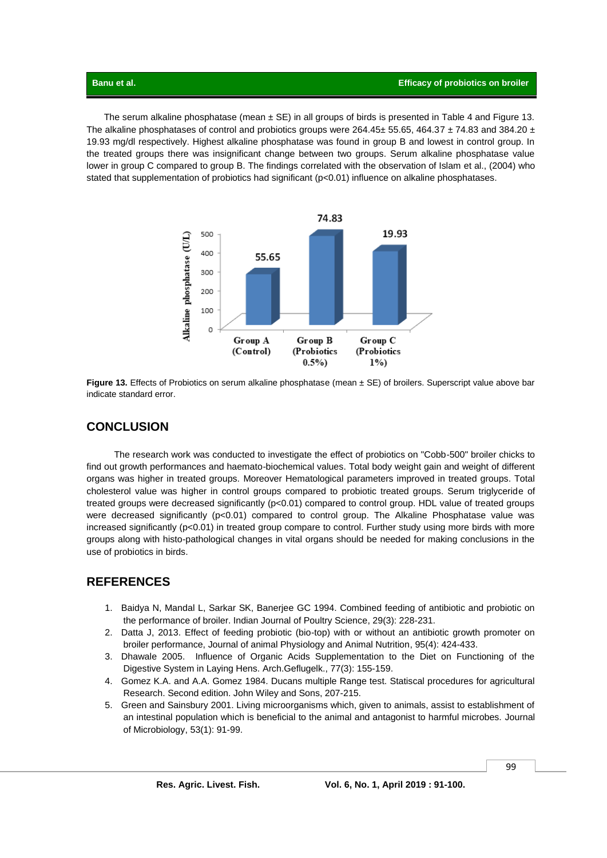The serum alkaline phosphatase (mean  $\pm$  SE) in all groups of birds is presented in Table 4 and Figure 13. The alkaline phosphatases of control and probiotics groups were  $264.45\pm55.65$ , 464.37  $\pm$  74.83 and 384.20  $\pm$ 19.93 mg/dl respectively. Highest alkaline phosphatase was found in group B and lowest in control group. In the treated groups there was insignificant change between two groups. Serum alkaline phosphatase value lower in group C compared to group B. The findings correlated with the observation of Islam et al., (2004) who stated that supplementation of probiotics had significant  $(p<0.01)$  influence on alkaline phosphatases.



**Figure 13.** Effects of Probiotics on serum alkaline phosphatase (mean ± SE) of broilers. Superscript value above bar indicate standard error.

## **CONCLUSION**

The research work was conducted to investigate the effect of probiotics on "Cobb-500" broiler chicks to find out growth performances and haemato-biochemical values. Total body weight gain and weight of different organs was higher in treated groups. Moreover Hematological parameters improved in treated groups. Total cholesterol value was higher in control groups compared to probiotic treated groups. Serum triglyceride of treated groups were decreased significantly (p<0.01) compared to control group. HDL value of treated groups were decreased significantly (p<0.01) compared to control group. The Alkaline Phosphatase value was increased significantly (p<0.01) in treated group compare to control. Further study using more birds with more groups along with histo-pathological changes in vital organs should be needed for making conclusions in the use of probiotics in birds.

## **REFERENCES**

- 1. Baidya N, Mandal L, Sarkar SK, Banerjee GC 1994. Combined feeding of antibiotic and probiotic on the performance of broiler. Indian Journal of Poultry Science, 29(3): 228-231.
- 2. Datta J, 2013. Effect of feeding probiotic (bio-top) with or without an antibiotic growth promoter on broiler performance, Journal of animal Physiology and Animal Nutrition, 95(4): 424-433.
- 3. Dhawale 2005. Influence of Organic Acids Supplementation to the Diet on Functioning of the Digestive System in Laying Hens. Arch.Geflugelk., 77(3): 155-159.
- 4. Gomez K.A. and A.A. Gomez 1984. Ducans multiple Range test. Statiscal procedures for agricultural Research. Second edition. John Wiley and Sons, 207-215.
- 5. Green and Sainsbury 2001. Living microorganisms which, given to animals, assist to establishment of an intestinal population which is beneficial to the animal and antagonist to harmful microbes. Journal of Microbiology, 53(1): 91-99.